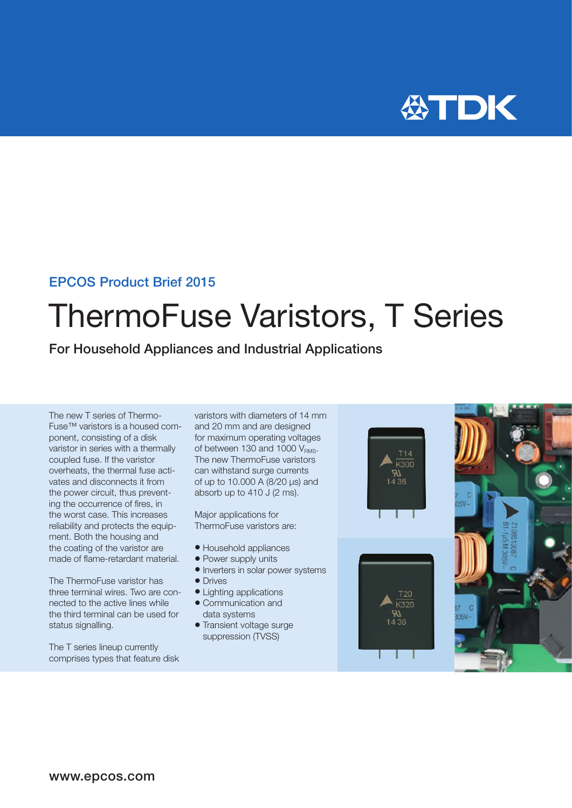

### EPCOS Product Brief 2015

# ThermoFuse Varistors, T Series

For Household Appliances and Industrial Applications

The new T series of Thermo-Fuse™ varistors is a housed component, consisting of a disk varistor in series with a thermally coupled fuse. If the varistor overheats, the thermal fuse activates and disconnects it from the power circuit, thus preventing the occurrence of fires, in the worst case. This increases reliability and protects the equipment. Both the housing and the coating of the varistor are made of flame-retardant material.

The ThermoFuse varistor has three terminal wires. Two are connected to the active lines while the third terminal can be used for status signalling.

The T series lineup currently comprises types that feature disk varistors with diameters of 14 mm and 20 mm and are designed for maximum operating voltages of between 130 and 1000  $V_{\text{PMS}}$ . The new ThermoFuse varistors can withstand surge currents of up to 10.000 A (8/20 µs) and absorb up to 410 J (2 ms).

Major applications for ThermoFuse varistors are:

- Household appliances
- Power supply units
- Inverters in solar power systems
- Drives
- Lighting applications
- Communication and data systems
- Transient voltage surge suppression (TVSS)





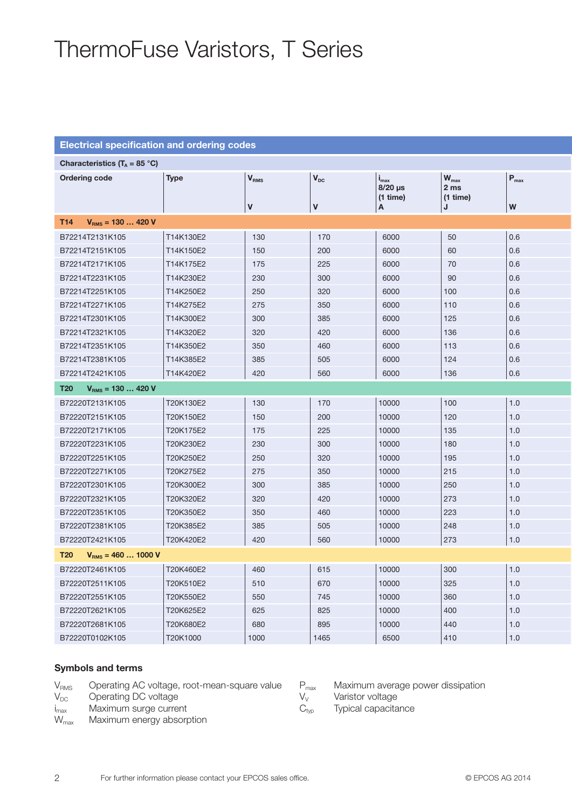### ThermoFuse Varistors, T Series

#### Electrical specification and ordering codes

| Characteristics ( $T_A = 85 °C$ ) |           |                         |              |                                           |                                                                    |                  |
|-----------------------------------|-----------|-------------------------|--------------|-------------------------------------------|--------------------------------------------------------------------|------------------|
| <b>Ordering code</b>              | Type      | <b>V</b> <sub>RMS</sub> | $ V_{DC} $   | $I_{\text{max}}$<br>8/20 µs<br>$(1$ time) | $\mathbf{W}_{\text{max}}$<br>2 <sub>ms</sub><br>$(1 \text{ time})$ | P <sub>max</sub> |
|                                   |           | $\mathbf v$             | $\mathsf{v}$ | A                                         | .1                                                                 | W                |
| T14 $V_{RMS} = 130420 V$          |           |                         |              |                                           |                                                                    |                  |
| B72214T2131K105                   | T14K130E2 | 130                     | 170          | 6000                                      | 50                                                                 | 0.6              |
| B72214T2151K105                   | T14K150E2 | 150                     | 200          | 6000                                      | 60                                                                 | 0.6              |
| B72214T2171K105                   | T14K175E2 | 175                     | 225          | 6000                                      | 70                                                                 | 0.6              |
| B72214T2231K105                   | T14K230E2 | 230                     | 300          | 6000                                      | 90                                                                 | 0.6              |
| B72214T2251K105                   | T14K250E2 | 250                     | 320          | 6000                                      | 100                                                                | 0.6              |
| B72214T2271K105                   | T14K275E2 | 275                     | 350          | 6000                                      | 110                                                                | 0.6              |
| B72214T2301K105                   | T14K300E2 | 300                     | 385          | 6000                                      | 125                                                                | 0.6              |
| B72214T2321K105                   | T14K320E2 | 320                     | 420          | 6000                                      | 136                                                                | 0.6              |
| B72214T2351K105                   | T14K350E2 | 350                     | 460          | 6000                                      | 113                                                                | 0.6              |
| B72214T2381K105                   | T14K385E2 | 385                     | 505          | 6000                                      | 124                                                                | 0.6              |
| B72214T2421K105                   | T14K420E2 | 420                     | 560          | 6000                                      | 136                                                                | 0.6              |
| T20 $V_{RMS} = 130420 V$          |           |                         |              |                                           |                                                                    |                  |
| B72220T2131K105                   | T20K130E2 | 130                     | 170          | 10000                                     | 100                                                                | 1.0              |
| B72220T2151K105                   | T20K150E2 | 150                     | 200          | 10000                                     | 120                                                                | 1.0              |
| B72220T2171K105                   | T20K175E2 | 175                     | 225          | 10000                                     | 135                                                                | 1.0              |
| B72220T2231K105                   | T20K230E2 | 230                     | 300          | 10000                                     | 180                                                                | 1.0              |
| B72220T2251K105                   | T20K250E2 | 250                     | 320          | 10000                                     | 195                                                                | 1.0              |
| B72220T2271K105                   | T20K275E2 | 275                     | 350          | 10000                                     | 215                                                                | 1.0              |
| B72220T2301K105                   | T20K300E2 | 300                     | 385          | 10000                                     | 250                                                                | 1.0              |
| B72220T2321K105                   | T20K320E2 | 320                     | 420          | 10000                                     | 273                                                                | 1.0              |
| B72220T2351K105                   | T20K350E2 | 350                     | 460          | 10000                                     | 223                                                                | 1.0              |
| B72220T2381K105                   | T20K385E2 | 385                     | 505          | 10000                                     | 248                                                                | 1.0              |
| B72220T2421K105                   | T20K420E2 | 420                     | 560          | 10000                                     | 273                                                                | 1.0              |
| T20 $V_{RMS} = 4601000 V$         |           |                         |              |                                           |                                                                    |                  |
| B72220T2461K105                   | T20K460E2 | 460                     | 615          | 10000                                     | 300                                                                | 1.0              |
| B72220T2511K105                   | T20K510E2 | 510                     | 670          | 10000                                     | 325                                                                | 1.0              |
| B72220T2551K105                   | T20K550E2 | 550                     | 745          | 10000                                     | 360                                                                | 1.0              |
| B72220T2621K105                   | T20K625E2 | 625                     | 825          | 10000                                     | 400                                                                | 1.0              |
| B72220T2681K105                   | T20K680E2 | 680                     | 895          | 10000                                     | 440                                                                | 1.0              |
| B72220T0102K105                   | T20K1000  | 1000                    | 1465         | 6500                                      | 410                                                                | 1.0              |
|                                   |           |                         |              |                                           |                                                                    |                  |

#### Symbols and terms

- $V_{RMS}$  Operating AC voltage, root-mean-square value<br> $V_{DC}$  Operating DC voltage
- Operating DC voltage
- 
- $i_{\text{max}}$  Maximum surge current<br>W<sub>max</sub> Maximum energy absorp Maximum energy absorption
- $P_{\text{max}}$  Maximum average power dissipation<br>  $V_V$  Varistor voltage
	-
- $V_V$  Varistor voltage<br>  $C_{\text{typ}}$  Typical capacita Typical capacitance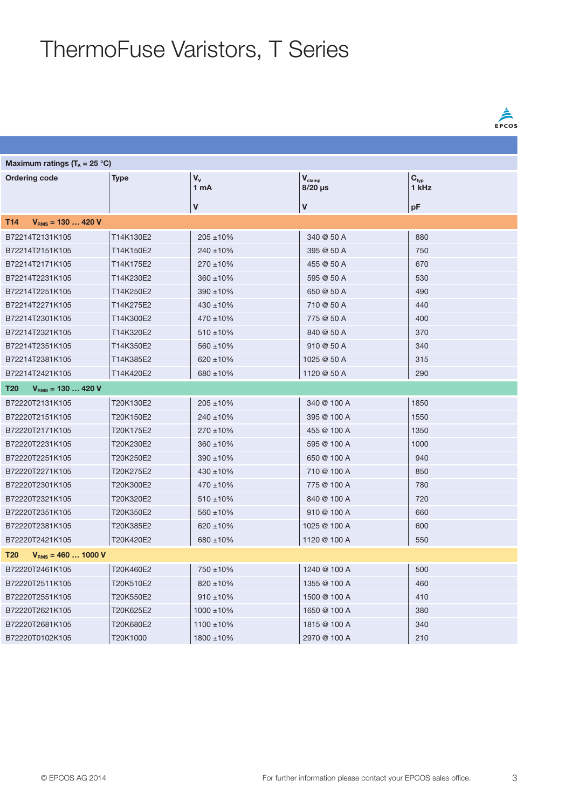## ThermoFuse Varistors, T Series

| Maximum ratings ( $T_A = 25$ °C) |           |                           |                               |                           |  |  |  |  |  |
|----------------------------------|-----------|---------------------------|-------------------------------|---------------------------|--|--|--|--|--|
| Ordering code                    | Type      | $\mathbf{V}_{\mathbf{V}}$ | $\mathsf{V}_{\mathsf{clamp}}$ | $\mathbf{C}_{\text{typ}}$ |  |  |  |  |  |
|                                  |           | $ 1$ mA                   | $8/20 \,\mu s$                | $\overline{1}$ kHz        |  |  |  |  |  |
|                                  |           | V                         | V)                            | pF                        |  |  |  |  |  |
| T14 $V_{RMS} = 130420 V$         |           |                           |                               |                           |  |  |  |  |  |
| B72214T2131K105                  | T14K130E2 | $205 \pm 10\%$            | 340 @ 50 A                    | 880                       |  |  |  |  |  |
| B72214T2151K105                  | T14K150E2 | $240 \pm 10\%$            | 395 @ 50 A                    | 750                       |  |  |  |  |  |
| B72214T2171K105                  | T14K175E2 | $270 \pm 10\%$            | 455 @ 50 A                    | 670                       |  |  |  |  |  |
| B72214T2231K105                  | T14K230E2 | $360 \pm 10\%$            | 595 @ 50 A                    | 530                       |  |  |  |  |  |
| B72214T2251K105                  | T14K250E2 | $390 \pm 10\%$            | 650 @ 50 A                    | 490                       |  |  |  |  |  |
| B72214T2271K105                  | T14K275E2 | $430 \pm 10\%$            | 710 @ 50 A                    | 440                       |  |  |  |  |  |
| B72214T2301K105                  | T14K300E2 | $470 \pm 10\%$            | 775 @ 50 A                    | 400                       |  |  |  |  |  |
| B72214T2321K105                  | T14K320E2 | $510 \pm 10\%$            | 840 @ 50 A                    | 370                       |  |  |  |  |  |
| B72214T2351K105                  | T14K350E2 | $560 \pm 10\%$            | 910@50A                       | 340                       |  |  |  |  |  |
| B72214T2381K105                  | T14K385E2 | $620 \pm 10\%$            | 1025 @ 50 A                   | 315                       |  |  |  |  |  |
| B72214T2421K105                  | T14K420E2 | $680 \pm 10\%$            | 1120 @ 50 A                   | 290                       |  |  |  |  |  |
| T20 $V_{RMS} = 130420 V$         |           |                           |                               |                           |  |  |  |  |  |
| B72220T2131K105                  | T20K130E2 | $205 \pm 10\%$            | 340 @ 100 A                   | 1850                      |  |  |  |  |  |
| B72220T2151K105                  | T20K150E2 | $240 \pm 10\%$            | 395 @ 100 A                   | 1550                      |  |  |  |  |  |
| B72220T2171K105                  | T20K175E2 | $270 \pm 10\%$            | 455 @ 100 A                   | 1350                      |  |  |  |  |  |
| B72220T2231K105                  | T20K230E2 | $360 + 10\%$              | 595 @ 100 A                   | 1000                      |  |  |  |  |  |
| B72220T2251K105                  | T20K250E2 | $390 + 10\%$              | 650 @ 100 A                   | 940                       |  |  |  |  |  |
| B72220T2271K105                  | T20K275E2 | $430 \pm 10\%$            | 710 @ 100 A                   | 850                       |  |  |  |  |  |
| B72220T2301K105                  | T20K300E2 | $470 \pm 10\%$            | 775 @ 100 A                   | 780                       |  |  |  |  |  |
| B72220T2321K105                  | T20K320E2 | $510 \pm 10\%$            | 840 @ 100 A                   | 720                       |  |  |  |  |  |
| B72220T2351K105                  | T20K350E2 | $560 + 10\%$              | 910 @ 100 A                   | 660                       |  |  |  |  |  |
| B72220T2381K105                  | T20K385E2 | $620 \pm 10\%$            | 1025 @ 100 A                  | 600                       |  |  |  |  |  |
| B72220T2421K105                  | T20K420E2 | $680 + 10\%$              | 1120 @ 100 A                  | 550                       |  |  |  |  |  |
| T20 $V_{RMS} = 4601000 V$        |           |                           |                               |                           |  |  |  |  |  |
| B72220T2461K105                  | T20K460E2 | 750 ±10%                  | 1240 @ 100 A                  | 500                       |  |  |  |  |  |
| B72220T2511K105                  | T20K510E2 | $820 \pm 10\%$            | 1355 @ 100 A                  | 460                       |  |  |  |  |  |
| B72220T2551K105                  | T20K550E2 | $910 \pm 10\%$            | 1500 @ 100 A                  | 410                       |  |  |  |  |  |
| B72220T2621K105                  | T20K625E2 | $1000 \pm 10\%$           | 1650 @ 100 A                  | 380                       |  |  |  |  |  |
| B72220T2681K105                  | T20K680E2 | $1100 \pm 10\%$           | 1815 @ 100 A                  | 340                       |  |  |  |  |  |
| B72220T0102K105                  | T20K1000  | $1800 \pm 10\%$           | 2970 @ 100 A                  | 210                       |  |  |  |  |  |